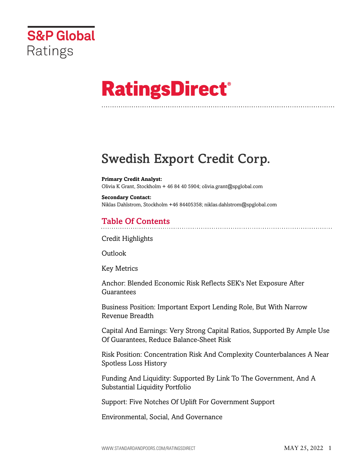

# **RatingsDirect®**

## Swedish Export Credit Corp.

**Primary Credit Analyst:** Olivia K Grant, Stockholm + 46 84 40 5904; olivia.grant@spglobal.com

**Secondary Contact:** Niklas Dahlstrom, Stockholm +46 84405358; niklas.dahlstrom@spglobal.com

## Table Of Contents

[Credit Highlights](#page-2-0)

[Outlook](#page--1-0)

[Key Metrics](#page-3-0)

[Anchor: Blended Economic Risk Reflects SEK's Net Exposure After](#page-4-0) [Guarantees](#page-4-0)

[Business Position: Important Export Lending Role, But With Narrow](#page-4-1) [Revenue Breadth](#page-4-1)

[Capital And Earnings: Very Strong Capital Ratios, Supported By Ample Use](#page-5-0) [Of Guarantees, Reduce Balance-Sheet Risk](#page-5-0)

[Risk Position: Concentration Risk And Complexity Counterbalances A Near](#page-5-1) [Spotless Loss History](#page-5-1)

[Funding And Liquidity: Supported By Link To The Government, And A](#page-6-0) [Substantial Liquidity Portfolio](#page-6-0)

[Support: Five Notches Of Uplift For Government Support](#page-7-0)

[Environmental, Social, And Governance](#page-8-0)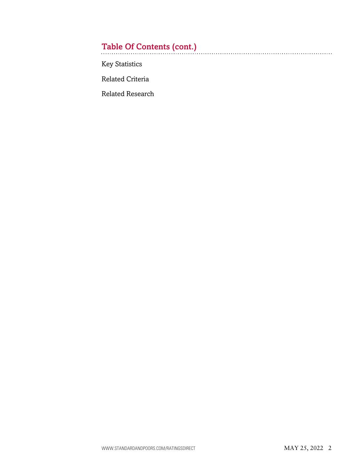## Table Of Contents (cont.)

[Key Statistics](#page-8-1)

[Related Criteria](#page-11-0)

[Related Research](#page-11-1)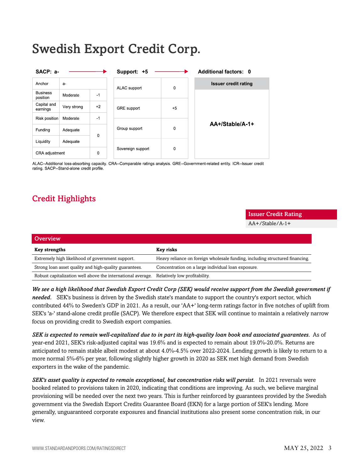## Swedish Export Credit Corp.

| SACP: a-                    |             |      | Support: +5                 |      | <b>Additional factors: 0</b> |
|-----------------------------|-------------|------|-----------------------------|------|------------------------------|
| Anchor                      | $a-$        |      | $\mathbf 0$<br>ALAC support |      | <b>Issuer credit rating</b>  |
| <b>Business</b><br>position | Moderate    | $-1$ |                             |      |                              |
| Capital and<br>earnings     | Very strong | $+2$ | GRE support                 | $+5$ |                              |
| Risk position               | Moderate    | $-1$ |                             |      |                              |
| Funding                     | Adequate    | 0    | Group support               | 0    | AA+/Stable/A-1+              |
| Liquidity                   | Adequate    |      |                             |      |                              |
| CRA adjustment              |             | 0    | Sovereign support           | 0    |                              |

ALAC--Additional loss-absorbing capacity. CRA--Comparable ratings analysis. GRE--Government-related entity. ICR--Issuer credit rating. SACP--Stand-alone credit profile.

## <span id="page-2-0"></span>Credit Highlights

## **Overview Key strengths Key risks** Extremely high likelihood of government support. Heavy reliance on foreign wholesale funding, including structured financing. Strong loan asset quality and high-quality guarantees. Concentration on a large individual loan exposure. Robust capitalization well above the international average. Relatively low profitability.

*We see a high likelihood that Swedish Export Credit Corp (SEK) would receive support from the Swedish government if needed.* SEK's business is driven by the Swedish state's mandate to support the country's export sector, which contributed 44% to Sweden's GDP in 2021. As a result, our 'AA+' long-term ratings factor in five notches of uplift from SEK's 'a-' stand-alone credit profile (SACP). We therefore expect that SEK will continue to maintain a relatively narrow focus on providing credit to Swedish export companies.

*SEK is expected to remain well-capitalized due to in part its high-quality loan book and associated guarantees.* As of year-end 2021, SEK's risk-adjusted capital was 19.6% and is expected to remain about 19.0%-20.0%. Returns are anticipated to remain stable albeit modest at about 4.0%-4.5% over 2022-2024. Lending growth is likely to return to a more normal 5%-6% per year, following slightly higher growth in 2020 as SEK met high demand from Swedish exporters in the wake of the pandemic.

*SEK's asset quality is expected to remain exceptional, but concentration risks will persist.* In 2021 reversals were booked related to provisions taken in 2020, indicating that conditions are improving. As such, we believe marginal provisioning will be needed over the next two years. This is further reinforced by guarantees provided by the Swedish government via the Swedish Export Credits Guarantee Board (EKN) for a large portion of SEK's lending. More generally, unguaranteed corporate exposures and financial institutions also present some concentration risk, in our view.

Issuer Credit Rating AA+/Stable/A-1+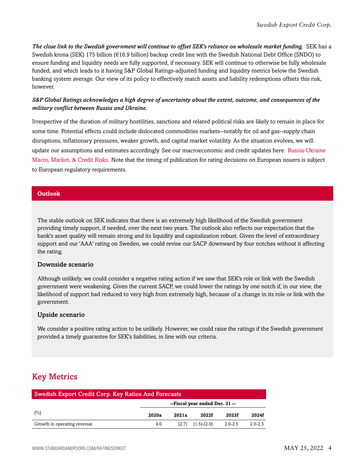*The close link to the Swedish government will continue to offset SEK's reliance on wholesale market funding.* SEK has a Swedish krona (SEK) 175 billion (€16.9 billion) backup credit line with the Swedish National Debt Office (SNDO) to ensure funding and liquidity needs are fully supported, if necessary. SEK will continue to otherwise be fully wholesale funded, and which leads to it having S&P Global Ratings-adjusted funding and liquidity metrics below the Swedish banking system average. Our view of its policy to effectively match assets and liability redemptions offsets this risk, however.

#### *S&P Global Ratings acknowledges a high degree of uncertainty about the extent, outcome, and consequences of the military conflict between Russia and Ukraine.*

Irrespective of the duration of military hostilities, sanctions and related political risks are likely to remain in place for some time. Potential effects could include dislocated commodities markets--notably for oil and gas--supply chain disruptions, inflationary pressures, weaker growth, and capital market volatility. As the situation evolves, we will update our assumptions and estimates accordingly. See our macroeconomic and credit updates here: [Russia-Ukraine](https://www.spglobal.com/ratings/en/research-insights/topics/russia-ukraine-conflict) [Macro, Market, & Credit Risks](https://www.spglobal.com/ratings/en/research-insights/topics/russia-ukraine-conflict). Note that the timing of publication for rating decisions on European issuers is subject to European regulatory requirements.

#### **Outlook**

The stable outlook on SEK indicates that there is an extremely high likelihood of the Swedish government providing timely support, if needed, over the next two years. The outlook also reflects our expectation that the bank's asset quality will remain strong and its liquidity and capitalization robust. Given the level of extraordinary support and our 'AAA' rating on Sweden, we could revise our SACP downward by four notches without it affecting the rating.

#### Downside scenario

Although unlikely, we could consider a negative rating action if we saw that SEK's role or link with the Swedish government were weakening. Given the current SACP, we could lower the ratings by one notch if, in our view, the likelihood of support had reduced to very high from extremely high, because of a change in its role or link with the government.

#### Upside scenario

We consider a positive rating action to be unlikely. However, we could raise the ratings if the Swedish government provided a timely guarantee for SEK's liabilities, in line with our criteria.

## <span id="page-3-0"></span>Key Metrics

| <b>Swedish Export Credit Corp. Key Ratios And Forecasts</b> |                                |       |               |             |             |  |  |  |  |
|-------------------------------------------------------------|--------------------------------|-------|---------------|-------------|-------------|--|--|--|--|
|                                                             | --Fiscal year ended Dec. 31 -- |       |               |             |             |  |  |  |  |
| (%)                                                         | 2020a                          | 2021a | 2022f         | 2023f       | 2024f       |  |  |  |  |
| Growth in operating revenue                                 | 4.0                            | (2.7) | $(1.5)-(2.0)$ | $2.0 - 2.5$ | $2.0 - 2.5$ |  |  |  |  |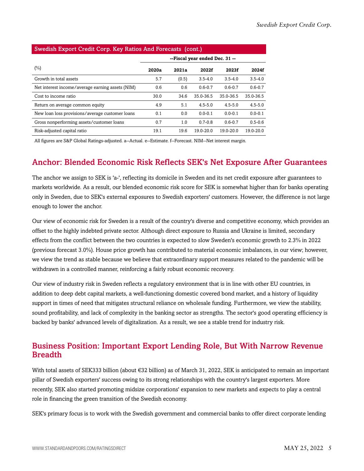| Swedish Export Credit Corp. Key Ratios And Forecasts (cont.) |                                |       |               |             |               |  |  |  |  |  |
|--------------------------------------------------------------|--------------------------------|-------|---------------|-------------|---------------|--|--|--|--|--|
|                                                              | --Fiscal year ended Dec. 31 -- |       |               |             |               |  |  |  |  |  |
| $(\%)$                                                       | 2020a                          | 2021a | 2022f         | 2023f       | 2024f         |  |  |  |  |  |
| Growth in total assets                                       | 5.7                            | (0.5) | $3.5 - 4.0$   | $3.5 - 4.0$ | $3.5 - 4.0$   |  |  |  |  |  |
| Net interest income/average earning assets (NIM)             | 0.6                            | 0.6   | $0.6 - 0.7$   | $0.6 - 0.7$ | $0.6 - 0.7$   |  |  |  |  |  |
| Cost to income ratio                                         | 30.0                           | 34.6  | 35.0-36.5     | 35.0-36.5   | 35.0-36.5     |  |  |  |  |  |
| Return on average common equity                              | 4.9                            | 5.1   | $4.5 - 5.0$   | $4.5 - 5.0$ | $4.5 - 5.0$   |  |  |  |  |  |
| New loan loss provisions/average customer loans              | 0.1                            | 0.0   | $0.0 - 0.1$   | $0.0 - 0.1$ | $0.0 - 0.1$   |  |  |  |  |  |
| Gross nonperforming assets/customer loans                    | 0.7                            | 1.0   | $0.7 - 0.8$   | $0.6 - 0.7$ | $0.5 - 0.6$   |  |  |  |  |  |
| Risk-adjusted capital ratio                                  | 19.1                           | 19.6  | $19.0 - 20.0$ | 19.0-20.0   | $19.0 - 20.0$ |  |  |  |  |  |

#### Swedish Export Credit Corp. Key Ratios And Forecasts (cont.)

<span id="page-4-0"></span>All figures are S&P Global Ratings-adjusted. a--Actual. e--Estimate. f--Forecast. NIM--Net interest margin.

## Anchor: Blended Economic Risk Reflects SEK's Net Exposure After Guarantees

The anchor we assign to SEK is 'a-', reflecting its domicile in Sweden and its net credit exposure after guarantees to markets worldwide. As a result, our blended economic risk score for SEK is somewhat higher than for banks operating only in Sweden, due to SEK's external exposures to Swedish exporters' customers. However, the difference is not large enough to lower the anchor.

Our view of economic risk for Sweden is a result of the country's diverse and competitive economy, which provides an offset to the highly indebted private sector. Although direct exposure to Russia and Ukraine is limited, secondary effects from the conflict between the two countries is expected to slow Sweden's economic growth to 2.3% in 2022 (previous forecast 3.0%). House price growth has contributed to material economic imbalances, in our view; however, we view the trend as stable because we believe that extraordinary support measures related to the pandemic will be withdrawn in a controlled manner, reinforcing a fairly robust economic recovery.

Our view of industry risk in Sweden reflects a regulatory environment that is in line with other EU countries, in addition to deep debt capital markets, a well-functioning domestic covered bond market, and a history of liquidity support in times of need that mitigates structural reliance on wholesale funding. Furthermore, we view the stability, sound profitability, and lack of complexity in the banking sector as strengths. The sector's good operating efficiency is backed by banks' advanced levels of digitalization. As a result, we see a stable trend for industry risk.

## <span id="page-4-1"></span>Business Position: Important Export Lending Role, But With Narrow Revenue **Breadth**

With total assets of SEK333 billion (about €32 billion) as of March 31, 2022, SEK is anticipated to remain an important pillar of Swedish exporters' success owing to its strong relationships with the country's largest exporters. More recently, SEK also started promoting midsize corporations' expansion to new markets and expects to play a central role in financing the green transition of the Swedish economy.

SEK's primary focus is to work with the Swedish government and commercial banks to offer direct corporate lending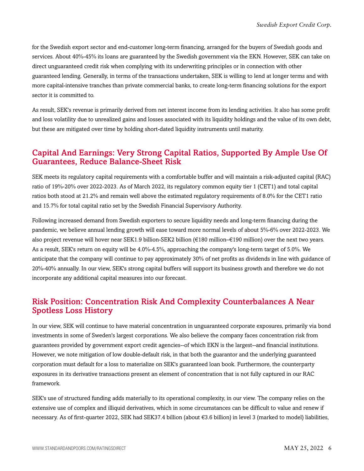for the Swedish export sector and end-customer long-term financing, arranged for the buyers of Swedish goods and services. About 40%-45% its loans are guaranteed by the Swedish government via the EKN. However, SEK can take on direct unguaranteed credit risk when complying with its underwriting principles or in connection with other guaranteed lending. Generally, in terms of the transactions undertaken, SEK is willing to lend at longer terms and with more capital-intensive tranches than private commercial banks, to create long-term financing solutions for the export sector it is committed to.

As result, SEK's revenue is primarily derived from net interest income from its lending activities. It also has some profit and loss volatility due to unrealized gains and losses associated with its liquidity holdings and the value of its own debt, but these are mitigated over time by holding short-dated liquidity instruments until maturity.

### <span id="page-5-0"></span>Capital And Earnings: Very Strong Capital Ratios, Supported By Ample Use Of Guarantees, Reduce Balance-Sheet Risk

SEK meets its regulatory capital requirements with a comfortable buffer and will maintain a risk-adjusted capital (RAC) ratio of 19%-20% over 2022-2023. As of March 2022, its regulatory common equity tier 1 (CET1) and total capital ratios both stood at 21.2% and remain well above the estimated regulatory requirements of 8.0% for the CET1 ratio and 15.7% for total capital ratio set by the Swedish Financial Supervisory Authority.

Following increased demand from Swedish exporters to secure liquidity needs and long-term financing during the pandemic, we believe annual lending growth will ease toward more normal levels of about 5%-6% over 2022-2023. We also project revenue will hover near SEK1.9 billion-SEK2 billion (€180 million–€190 million) over the next two years. As a result, SEK's return on equity will be 4.0%-4.5%, approaching the company's long-term target of 5.0%. We anticipate that the company will continue to pay approximately 30% of net profits as dividends in line with guidance of 20%-40% annually. In our view, SEK's strong capital buffers will support its business growth and therefore we do not incorporate any additional capital measures into our forecast.

## <span id="page-5-1"></span>Risk Position: Concentration Risk And Complexity Counterbalances A Near Spotless Loss History

In our view, SEK will continue to have material concentration in unguaranteed corporate exposures, primarily via bond investments in some of Sweden's largest corporations. We also believe the company faces concentration risk from guarantees provided by government export credit agencies--of which EKN is the largest--and financial institutions. However, we note mitigation of low double-default risk, in that both the guarantor and the underlying guaranteed corporation must default for a loss to materialize on SEK's guaranteed loan book. Furthermore, the counterparty exposures in its derivative transactions present an element of concentration that is not fully captured in our RAC framework.

SEK's use of structured funding adds materially to its operational complexity, in our view. The company relies on the extensive use of complex and illiquid derivatives, which in some circumstances can be difficult to value and renew if necessary. As of first-quarter 2022, SEK had SEK37.4 billion (about €3.6 billion) in level 3 (marked to model) liabilities,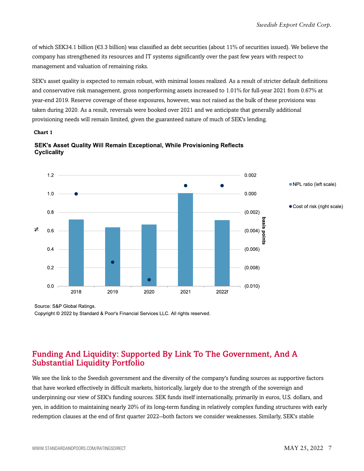of which SEK34.1 billion ( $\epsilon$ 3.3 billion) was classified as debt securities (about 11% of securities issued). We believe the company has strengthened its resources and IT systems significantly over the past few years with respect to management and valuation of remaining risks.

SEK's asset quality is expected to remain robust, with minimal losses realized. As a result of stricter default definitions and conservative risk management, gross nonperforming assets increased to 1.01% for full-year 2021 from 0.67% at year-end 2019. Reserve coverage of these exposures, however, was not raised as the bulk of these provisions was taken during 2020. As a result, reversals were booked over 2021 and we anticipate that generally additional provisioning needs will remain limited, given the guaranteed nature of much of SEK's lending.

#### **Chart 1**





Source: S&P Global Ratings.

Copyright © 2022 by Standard & Poor's Financial Services LLC. All rights reserved.

## <span id="page-6-0"></span>Funding And Liquidity: Supported By Link To The Government, And A Substantial Liquidity Portfolio

We see the link to the Swedish government and the diversity of the company's funding sources as supportive factors that have worked effectively in difficult markets, historically, largely due to the strength of the sovereign and underpinning our view of SEK's funding sources. SEK funds itself internationally, primarily in euros, U.S. dollars, and yen, in addition to maintaining nearly 20% of its long-term funding in relatively complex funding structures with early redemption clauses at the end of first quarter 2022--both factors we consider weaknesses. Similarly, SEK's stable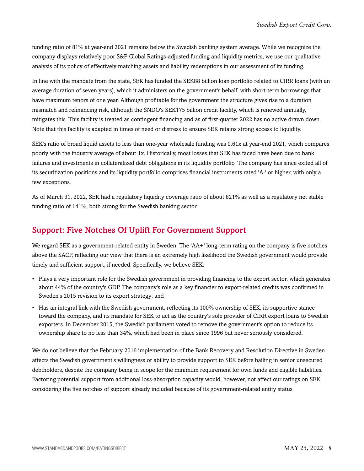funding ratio of 81% at year-end 2021 remains below the Swedish banking system average. While we recognize the company displays relatively poor S&P Global Ratings-adjusted funding and liquidity metrics, we use our qualitative analysis of its policy of effectively matching assets and liability redemptions in our assessment of its funding.

In line with the mandate from the state, SEK has funded the SEK88 billion loan portfolio related to CIRR loans (with an average duration of seven years), which it administers on the government's behalf, with short-term borrowings that have maximum tenors of one year. Although profitable for the government the structure gives rise to a duration mismatch and refinancing risk, although the SNDO's SEK175 billion credit facility, which is renewed annually, mitigates this. This facility is treated as contingent financing and as of first-quarter 2022 has no active drawn down. Note that this facility is adapted in times of need or distress to ensure SEK retains strong access to liquidity.

SEK's ratio of broad liquid assets to less than one-year wholesale funding was 0.61x at year-end 2021, which compares poorly with the industry average of about 1x. Historically, most losses that SEK has faced have been due to bank failures and investments in collateralized debt obligations in its liquidity portfolio. The company has since exited all of its securitization positions and its liquidity portfolio comprises financial instruments rated 'A-' or higher, with only a few exceptions.

As of March 31, 2022, SEK had a regulatory liquidity coverage ratio of about 821% as well as a regulatory net stable funding ratio of 141%, both strong for the Swedish banking sector.

## <span id="page-7-0"></span>Support: Five Notches Of Uplift For Government Support

We regard SEK as a government-related entity in Sweden. The 'AA+' long-term rating on the company is five notches above the SACP, reflecting our view that there is an extremely high likelihood the Swedish government would provide timely and sufficient support, if needed. Specifically, we believe SEK:

- Plays a very important role for the Swedish government in providing financing to the export sector, which generates about 44% of the country's GDP. The company's role as a key financier to export-related credits was confirmed in Sweden's 2015 revision to its export strategy; and
- Has an integral link with the Swedish government, reflecting its 100% ownership of SEK, its supportive stance toward the company, and its mandate for SEK to act as the country's sole provider of CIRR export loans to Swedish exporters. In December 2015, the Swedish parliament voted to remove the government's option to reduce its ownership share to no less than 34%, which had been in place since 1996 but never seriously considered.

We do not believe that the February 2016 implementation of the Bank Recovery and Resolution Directive in Sweden affects the Swedish government's willingness or ability to provide support to SEK before bailing in senior unsecured debtholders, despite the company being in scope for the minimum requirement for own funds and eligible liabilities. Factoring potential support from additional loss-absorption capacity would, however, not affect our ratings on SEK, considering the five notches of support already included because of its government-related entity status.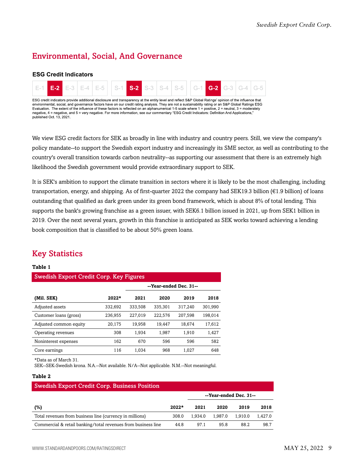## <span id="page-8-0"></span>Environmental, Social, And Governance

#### **ESG Credit Indicators**



We view ESG credit factors for SEK as broadly in line with industry and country peers. Still, we view the company's policy mandate--to support the Swedish export industry and increasingly its SME sector, as well as contributing to the country's overall transition towards carbon neutrality--as supporting our assessment that there is an extremely high likelihood the Swedish government would provide extraordinary support to SEK.

It is SEK's ambition to support the climate transition in sectors where it is likely to be the most challenging, including transportation, energy, and shipping. As of first-quarter 2022 the company had SEK19.3 billion ( $\epsilon$ 1.9 billion) of loans outstanding that qualified as dark green under its green bond framework, which is about 8% of total lending. This supports the bank's growing franchise as a green issuer, with SEK6.1 billion issued in 2021, up from SEK1 billion in 2019. Over the next several years, growth in this franchise is anticipated as SEK works toward achieving a lending book composition that is classified to be about 50% green loans.

## <span id="page-8-1"></span>Key Statistics

#### **Table 1**

| <b>Swedish Export Credit Corp. Key Figures</b> |         |                        |         |         |         |  |  |  |  |  |  |
|------------------------------------------------|---------|------------------------|---------|---------|---------|--|--|--|--|--|--|
|                                                |         | --Year-ended Dec. 31-- |         |         |         |  |  |  |  |  |  |
| (Mil. SEK)                                     | $2022*$ | 2021                   | 2020    | 2019    | 2018    |  |  |  |  |  |  |
| Adjusted assets                                | 332,692 | 333,508                | 335,301 | 317.240 | 301,990 |  |  |  |  |  |  |
| Customer loans (gross)                         | 236,955 | 227.019                | 222.576 | 207.598 | 198.014 |  |  |  |  |  |  |
| Adjusted common equity                         | 20,175  | 19,958                 | 19,447  | 18,674  | 17,612  |  |  |  |  |  |  |
| Operating revenues                             | 308     | 1.934                  | 1,987   | 1,910   | 1,427   |  |  |  |  |  |  |
| Noninterest expenses                           | 162     | 670                    | 596     | 596     | 582     |  |  |  |  |  |  |
| Core earnings                                  | 116     | 1.034                  | 968     | 1.027   | 648     |  |  |  |  |  |  |

\*Data as of March 31.

SEK--SEK-Swedish krona. N.A.--Not available. N/A--Not applicable. N.M.--Not meaningful.

#### **Table 2**

| <b>Swedish Export Credit Corp. Business Position</b>          |         |                        |         |         |         |  |  |  |  |
|---------------------------------------------------------------|---------|------------------------|---------|---------|---------|--|--|--|--|
|                                                               |         | --Year-ended Dec. 31-- |         |         |         |  |  |  |  |
| (%)                                                           | $2022*$ | 2021                   | 2020    | 2019    | 2018    |  |  |  |  |
| Total revenues from business line (currency in millions)      | 308.0   | 1.934.0                | 1.987.0 | 1.910.0 | 1.427.0 |  |  |  |  |
| Commercial & retail banking/total revenues from business line | 44.8    | 97.1                   | 95.8    | 88.2    | 98.7    |  |  |  |  |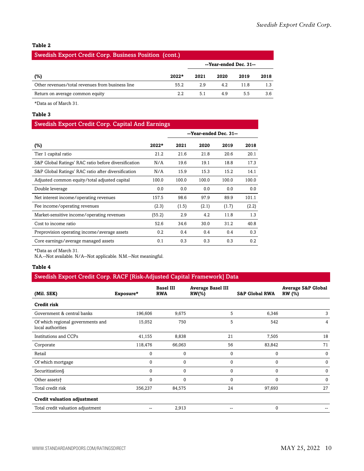#### **Table 2**

#### Swedish Export Credit Corp. Business Position (cont.)

|                                                  |         | --Year-ended Dec. 31-- |      |      |      |
|--------------------------------------------------|---------|------------------------|------|------|------|
| (%)                                              | $2022*$ | 2021                   | 2020 | 2019 | 2018 |
| Other revenues/total revenues from business line | 55.2    | 2.9                    | 4.2  | 11.8 |      |
| Return on average common equity                  | 2.2     | 5.1                    | 4.9  | 5.5  | 3.6  |

\*Data as of March 31.

#### **Table 3**

#### Swedish Export Credit Corp. Capital And Earnings

|                                                      |         | --Year-ended Dec. 31-- |       |       |       |
|------------------------------------------------------|---------|------------------------|-------|-------|-------|
| $(\%)$                                               | $2022*$ | 2021                   | 2020  | 2019  | 2018  |
| Tier 1 capital ratio                                 | 21.2    | 21.6                   | 21.8  | 20.6  | 20.1  |
| S&P Global Ratings' RAC ratio before diversification | N/A     | 19.6                   | 19.1  | 18.8  | 17.3  |
| S&P Global Ratings' RAC ratio after diversification  | N/A     | 15.9                   | 15.3  | 15.2  | 14.1  |
| Adjusted common equity/total adjusted capital        | 100.0   | 100.0                  | 100.0 | 100.0 | 100.0 |
| Double leverage                                      | 0.0     | 0.0                    | 0.0   | 0.0   | 0.0   |
| Net interest income/operating revenues               | 157.5   | 98.6                   | 97.9  | 89.9  | 101.1 |
| Fee income/operating revenues                        | (2.3)   | (1.5)                  | (2.1) | (1.7) | (2.2) |
| Market-sensitive income/operating revenues           | (55.2)  | 2.9                    | 4.2   | 11.8  | 1.3   |
| Cost to income ratio                                 | 52.6    | 34.6                   | 30.0  | 31.2  | 40.8  |
| Preprovision operating income/average assets         | 0.2     | 0.4                    | 0.4   | 0.4   | 0.3   |
| Core earnings/average managed assets                 | 0.1     | 0.3                    | 0.3   | 0.3   | 0.2   |

\*Data as of March 31.

N.A.--Not available. N/A--Not applicable. N.M.--Not meaningful.

#### **Table 4**

#### Swedish Export Credit Corp. RACF [Risk-Adjusted Capital Framework] Data

| (Mil. SEK)                                             | Exposure*    | <b>Basel III</b><br><b>RWA</b> | <b>Average Basel III</b><br>$RW(\% )$ | <b>S&amp;P Global RWA</b> | <b>Average S&amp;P Global</b><br><b>RW</b> (%) |
|--------------------------------------------------------|--------------|--------------------------------|---------------------------------------|---------------------------|------------------------------------------------|
| Credit risk                                            |              |                                |                                       |                           |                                                |
| Government & central banks                             | 196,606      | 9,675                          | 5                                     | 6,346                     | 3                                              |
| Of which regional governments and<br>local authorities | 15,052       | 750                            | 5                                     | 542                       | 4                                              |
| Institutions and CCPs                                  | 41,155       | 8,838                          | 21                                    | 7,505                     | 18                                             |
| Corporate                                              | 118,476      | 66,063                         | 56                                    | 83,842                    | 71                                             |
| Retail                                                 | $\mathbf{0}$ | $\mathbf{0}$                   | 0                                     | $\Omega$                  | $\Omega$                                       |
| Of which mortgage                                      | $\Omega$     | $\mathbf{0}$                   | $\Omega$                              | $\Omega$                  | $\Omega$                                       |
| Securitization§                                        | $\Omega$     | $\mathbf{0}$                   | 0                                     | 0                         | $\Omega$                                       |
| Other assets <sup>+</sup>                              | $\Omega$     | $\mathbf{0}$                   | $\Omega$                              | $\Omega$                  | $\Omega$                                       |
| Total credit risk                                      | 356,237      | 84,575                         | 24                                    | 97,693                    | 27                                             |
| Credit valuation adjustment                            |              |                                |                                       |                           |                                                |
| Total credit valuation adjustment                      |              | 2,913                          |                                       | $\Omega$                  |                                                |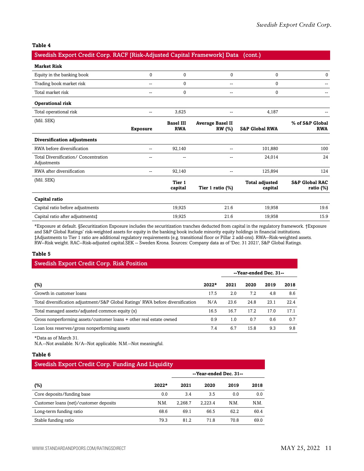#### **Table 4**

#### Swedish Export Credit Corp. RACF [Risk-Adjusted Capital Framework] Data (cont.)

| <b>Market Risk</b>                                  |                          |                                |                                          |                                  |                                           |
|-----------------------------------------------------|--------------------------|--------------------------------|------------------------------------------|----------------------------------|-------------------------------------------|
| Equity in the banking book                          | $\mathbf{0}$             | 0                              | 0                                        | $\mathbf{0}$                     | $\mathbf{0}$                              |
| Trading book market risk                            | $\overline{\phantom{a}}$ | $\pmb{0}$                      | --                                       | $\mathbf{0}$                     |                                           |
| Total market risk                                   | $\overline{\phantom{a}}$ | $\pmb{0}$                      | --                                       | 0                                |                                           |
| <b>Operational risk</b>                             |                          |                                |                                          |                                  |                                           |
| Total operational risk                              | $-$                      | 3,625                          | --                                       | 4,187                            |                                           |
| (Mil. SEK)                                          | <b>Exposure</b>          | <b>Basel III</b><br><b>RWA</b> | <b>Average Basel II</b><br><b>RW</b> (%) | <b>S&amp;P Global RWA</b>        | % of S&P Global<br><b>RWA</b>             |
| Diversification adjustments                         |                          |                                |                                          |                                  |                                           |
| RWA before diversification                          | $\sim$                   | 92,140                         | --                                       | 101,880                          | 100                                       |
| Total Diversification/ Concentration<br>Adjustments | --                       |                                |                                          | 24,014                           | 24                                        |
| RWA after diversification                           | --                       | 92,140                         | --                                       | 125,894                          | 124                                       |
| (Mil. SEK)                                          |                          | Tier 1<br>capital              | Tier 1 ratio (%)                         | <b>Total adjusted</b><br>capital | <b>S&amp;P Global RAC</b><br>ratio $(\%)$ |
| Capital ratio                                       |                          |                                |                                          |                                  |                                           |
| Capital ratio before adjustments                    |                          | 19,925                         | 21.6                                     | 19,958                           | 19.6                                      |
| Capital ratio after adjustments‡                    |                          | 19,925                         | 21.6                                     | 19,958                           | 15.9                                      |

\*Exposure at default. §Securitization Exposure includes the securitization tranches deducted from capital in the regulatory framework. †Exposure and S&P Global Ratings' risk-weighted assets for equity in the banking book include minority equity holdings in financial institutions. ‡Adjustments to Tier 1 ratio are additional regulatory requirements (e.g. transitional floor or Pillar 2 add-ons). RWA--Risk-weighted assets. RW--Risk weight. RAC--Risk-adjusted capital.SEK -- Sweden Krona. Sources: Company data as of 'Dec. 31 2021', S&P Global Ratings.

#### **Table 5**

| <b>Swedish Export Credit Corp. Risk Position</b>                                |         |      |                        |      |      |  |  |  |  |
|---------------------------------------------------------------------------------|---------|------|------------------------|------|------|--|--|--|--|
|                                                                                 |         |      | --Year-ended Dec. 31-- |      |      |  |  |  |  |
| $(\%)$                                                                          | $2022*$ | 2021 | 2020                   | 2019 | 2018 |  |  |  |  |
| Growth in customer loans                                                        | 17.5    | 2.0  | 7.2                    | 4.8  | 8.6  |  |  |  |  |
| Total diversification adjustment/S&P Global Ratings' RWA before diversification | N/A     | 23.6 | 24.8                   | 23.1 | 22.4 |  |  |  |  |
| Total managed assets/adjusted common equity (x)                                 | 16.5    | 16.7 | 17.2                   | 17.0 | 17.1 |  |  |  |  |
| Gross nonperforming assets/customer loans + other real estate owned             | 0.9     | 1.0  | 0.7                    | 0.6  | 0.7  |  |  |  |  |
| Loan loss reserves/gross nonperforming assets                                   | 7.4     | 6.7  | 15.8                   | 9.3  | 9.8  |  |  |  |  |

\*Data as of March 31.

N.A.--Not available. N/A--Not applicable. N.M.--Not meaningful.

#### **Table 6**

| Swedish Export Credit Corp. Funding And Liquidity |         |                        |         |      |      |  |  |  |  |
|---------------------------------------------------|---------|------------------------|---------|------|------|--|--|--|--|
|                                                   |         | --Year-ended Dec. 31-- |         |      |      |  |  |  |  |
| (%)                                               | $2022*$ | 2021                   | 2020    | 2019 | 2018 |  |  |  |  |
| Core deposits/funding base                        | 0.0     | 3.4                    | 3.5     | 0.0  | 0.0  |  |  |  |  |
| Customer loans (net)/customer deposits            | N.M.    | 2.268.7                | 2.223.4 | N.M. | N.M. |  |  |  |  |
| Long-term funding ratio                           | 68.6    | 69.1                   | 66.5    | 62.2 | 60.4 |  |  |  |  |
| Stable funding ratio                              | 79.3    | 81.2                   | 71.8    | 70.8 | 69.0 |  |  |  |  |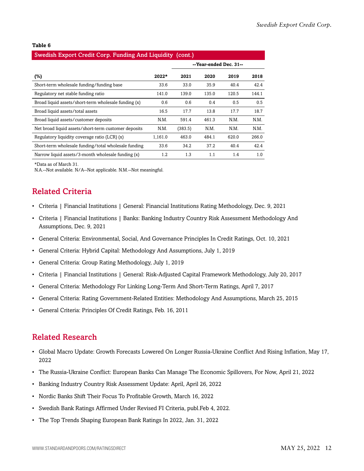#### **Table 6**

#### Swedish Export Credit Corp. Funding And Liquidity (cont.)

|                                                      |         | --Year-ended Dec. 31-- |       |       |       |
|------------------------------------------------------|---------|------------------------|-------|-------|-------|
| (%)                                                  | $2022*$ | 2021                   | 2020  | 2019  | 2018  |
| Short-term wholesale funding/funding base            | 33.6    | 33.0                   | 35.9  | 40.4  | 42.4  |
| Regulatory net stable funding ratio                  | 141.0   | 139.0                  | 135.0 | 120.5 | 144.1 |
| Broad liquid assets/short-term wholesale funding (x) | 0.6     | 0.6                    | 0.4   | 0.5   | 0.5   |
| Broad liquid assets/total assets                     | 16.5    | 17.7                   | 13.8  | 17.7  | 18.7  |
| Broad liquid assets/customer deposits                | N.M.    | 591.4                  | 461.3 | N.M.  | N.M.  |
| Net broad liquid assets/short-term customer deposits | N.M.    | (383.5)                | N.M.  | N.M.  | N.M.  |
| Regulatory liquidity coverage ratio (LCR) (x)        | 1,161.0 | 463.0                  | 484.1 | 620.0 | 266.0 |
| Short-term wholesale funding/total wholesale funding | 33.6    | 34.2                   | 37.2  | 40.4  | 42.4  |
| Narrow liquid assets/3-month wholesale funding (x)   | 1.2     | 1.3                    | 1.1   | 1.4   | 1.0   |

\*Data as of March 31.

<span id="page-11-0"></span>N.A.--Not available. N/A--Not applicable. N.M.--Not meaningful.

## Related Criteria

- Criteria | Financial Institutions | General: Financial Institutions Rating Methodology, Dec. 9, 2021
- Criteria | Financial Institutions | Banks: Banking Industry Country Risk Assessment Methodology And Assumptions, Dec. 9, 2021
- General Criteria: Environmental, Social, And Governance Principles In Credit Ratings, Oct. 10, 2021
- General Criteria: Hybrid Capital: Methodology And Assumptions, July 1, 2019
- General Criteria: Group Rating Methodology, July 1, 2019
- Criteria | Financial Institutions | General: Risk-Adjusted Capital Framework Methodology, July 20, 2017
- General Criteria: Methodology For Linking Long-Term And Short-Term Ratings, April 7, 2017
- General Criteria: Rating Government-Related Entities: Methodology And Assumptions, March 25, 2015
- General Criteria: Principles Of Credit Ratings, Feb. 16, 2011

### <span id="page-11-1"></span>Related Research

- Global Macro Update: Growth Forecasts Lowered On Longer Russia-Ukraine Conflict And Rising Inflation, May 17, 2022
- The Russia-Ukraine Conflict: European Banks Can Manage The Economic Spillovers, For Now, April 21, 2022
- Banking Industry Country Risk Assessment Update: April, April 26, 2022
- Nordic Banks Shift Their Focus To Profitable Growth, March 16, 2022
- Swedish Bank Ratings Affirmed Under Revised FI Criteria, publ.Feb 4, 2022.
- The Top Trends Shaping European Bank Ratings In 2022, Jan. 31, 2022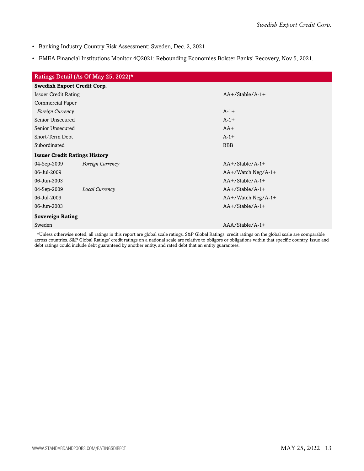- Banking Industry Country Risk Assessment: Sweden, Dec. 2, 2021
- EMEA Financial Institutions Monitor 4Q2021: Rebounding Economies Bolster Banks' Recovery, Nov 5, 2021.

| Ratings Detail (As Of May 25, 2022)* |                  |                     |
|--------------------------------------|------------------|---------------------|
| <b>Swedish Export Credit Corp.</b>   |                  |                     |
| <b>Issuer Credit Rating</b>          |                  | $AA+/Stable/A-1+$   |
| Commercial Paper                     |                  |                     |
| Foreign Currency                     |                  | $A-1+$              |
| Senior Unsecured                     |                  | $A-1+$              |
| Senior Unsecured                     |                  | $AA+$               |
| Short-Term Debt                      |                  | $A-1+$              |
| Subordinated                         |                  | <b>BBB</b>          |
| <b>Issuer Credit Ratings History</b> |                  |                     |
| 04-Sep-2009                          | Foreign Currency | $AA+/Stable/A-1+$   |
| 06-Jul-2009                          |                  | AA+/Watch Neg/A-1+  |
| 06-Jun-2003                          |                  | $AA+/Stable/A-1+$   |
| 04-Sep-2009                          | Local Currency   | $AA+/Stable/A-1+$   |
| 06-Jul-2009                          |                  | AA+/Watch Neg/A-1+  |
| 06-Jun-2003                          |                  | $AA + /Stable/A-1+$ |
| <b>Sovereign Rating</b>              |                  |                     |
| Sweden                               |                  | AAA/Stable/A-1+     |
|                                      |                  |                     |

\*Unless otherwise noted, all ratings in this report are global scale ratings. S&P Global Ratings' credit ratings on the global scale are comparable across countries. S&P Global Ratings' credit ratings on a national scale are relative to obligors or obligations within that specific country. Issue and debt ratings could include debt guaranteed by another entity, and rated debt that an entity guarantees.